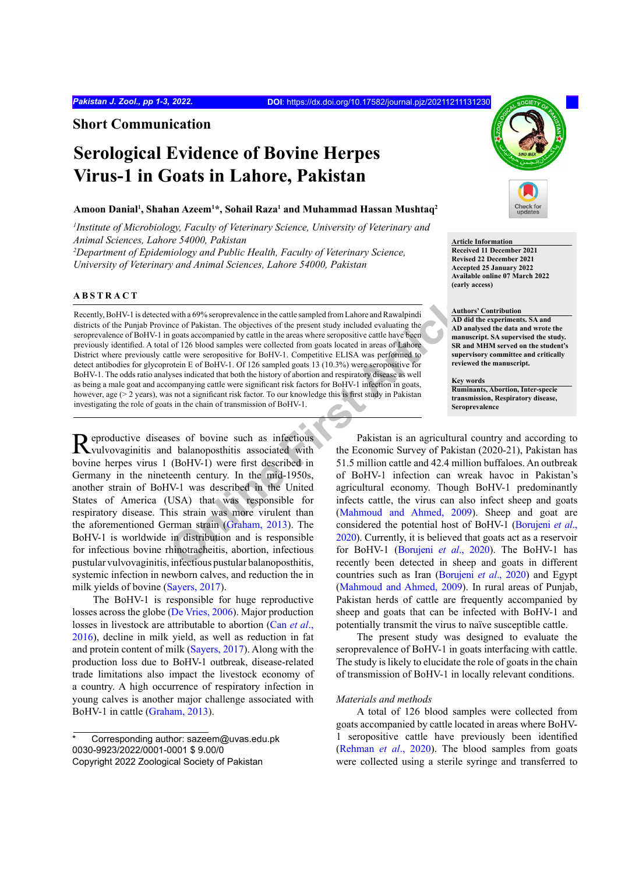**Short Communication**

# **Serological Evidence of Bovine Herpes Virus-1 in Goats in Lahore, Pakistan**

# **Amoon Danial1 , Shahan Azeem1 \*, Sohail Raza1 and Muhammad Hassan Mushtaq2**

*1 Institute of Microbiology, Faculty of Veterinary Science, University of Veterinary and Animal Sciences, Lahore 54000, Pakistan* 

<sup>2</sup>Department of Epidemiology and Public Health, Faculty of Veterinary Science, *University of Veterinary and Animal Sciences, Lahore 54000, Pakistan*

## **ABSTRACT**

**Notion 199%** seroprevalence in the cattle sampled from Lahore and Rawalpindi<br>
neace of Pakistan. The objectives of the present study included evaluating the<br>
neaces from goats accompanied by eattle in the areas where sero Recently, BoHV-1 is detected with a 69% seroprevalence in the cattle sampled from Lahore and Rawalpindi districts of the Punjab Province of Pakistan. The objectives of the present study included evaluating the seroprevalence of BoHV-1 in goats accompanied by cattle in the areas where seropositive cattle have been previously identified. A total of 126 blood samples were collected from goats located in areas of Lahore District where previously cattle were seropositive for BoHV-1. Competitive ELISA was performed to detect antibodies for glycoprotein E of BoHV-1. Of 126 sampled goats 13 (10.3%) were seropositive for BoHV-1. The odds ratio analyses indicated that both the history of abortion and respiratory disease as well as being a male goat and accompanying cattle were significant risk factors for BoHV-1 infection in goats, however, age (> 2 years), was not a significant risk factor. To our knowledge this is first study in Pakistan investigating the role of goats in the chain of transmission of BoHV-1.

Reproductive diseases of bovine such as infectious<br>
Wulvovaginitis and balanoposthitis associated with bovine herpes virus 1 (BoHV-1) were first described in Germany in the nineteenth century. In the mid-1950s, another strain of BoHV-1 was described in the United States of America (USA) that was responsible for respiratory disease. This strain was more virulent than the aforementioned German strain (Graham, 2013). The BoHV-1 is worldwide in distribution and is responsible for infectious bovine rhinotracheitis, abortion, infectious pustular vulvovaginitis, infectious pustular balanoposthitis, systemic infection in newborn calves, and reduction the in milk yields of bovine ([Sayers, 2017](#page-2-1)).

The BoHV-1 is responsible for huge reproductive losses across the globe ([De Vries, 2006](#page-2-2)). Major production losses in livestock are attributable to abortion (Can *et al*., 2016), decline in milk yield, as well as reduction in fat and protein content of milk ([Sayers, 2017\)](#page-2-1). Along with the production loss due to BoHV-1 outbreak, disease-related trade limitations also impact the livestock economy of a country. A high occurrence of respiratory infection in young calves is another major challenge associated with BoHV-1 in cattle ([Graham, 2013\)](#page-2-0).



### **Article Information**

**Received 11 December 2021 Revised 22 December 2021 Accepted 25 January 2022 Available online 07 March 2022 (early access)**

#### **Authors' Contribution**

**AD did the experiments. SA and AD analysed the data and wrote the manuscript. SA supervised the study. SR and MHM served on the student's supervisory committee and critically reviewed the manuscript.**

**Key words Ruminants, Abortion, Inter-specie transmission, Respiratory disease, Seroprevalence**

Pakistan is an agricultural country and according to the Economic Survey of Pakistan (2020-21), Pakistan has 51.5 million cattle and 42.4 million buffaloes. An outbreak of BoHV-1 infection can wreak havoc in Pakistan's agricultural economy. Though BoHV-1 predominantly infects cattle, the virus can also infect sheep and goats (Mahmoud and Ahmed, 2009). Sheep and goat are considered the potential host of BoHV-1 ([Borujeni](#page-2-4) *et al*., 2020). Currently, it is believed that goats act as a reservoir for BoHV-1 (Borujeni *et al*., 2020). The BoHV-1 has recently been detected in sheep and goats in different countries such as Iran ([Borujeni](#page-2-4) *et al*., 2020) and Egypt [\(Mahmoud and Ahmed, 2009](#page-2-3)). In rural areas of Punjab, Pakistan herds of cattle are frequently accompanied by sheep and goats that can be infected with BoHV-1 and potentially transmit the virus to naïve susceptible cattle.

The present study was designed to evaluate the seroprevalence of BoHV-1 in goats interfacing with cattle. The study is likely to elucidate the role of goats in the chain of transmission of BoHV-1 in locally relevant conditions.

# *Materials and methods*

A total of 126 blood samples were collected from goats accompanied by cattle located in areas where BoHV-1 seropositive cattle have previously been identified ([Rehman](#page-2-5) *et al*., 2020). The blood samples from goats were collected using a sterile syringe and transferred to

Corresponding author: sazeem@uvas.edu.pk 0030-9923/2022/0001-0001 \$ 9.00/0 Copyright 2022 Zoological Society of Pakistan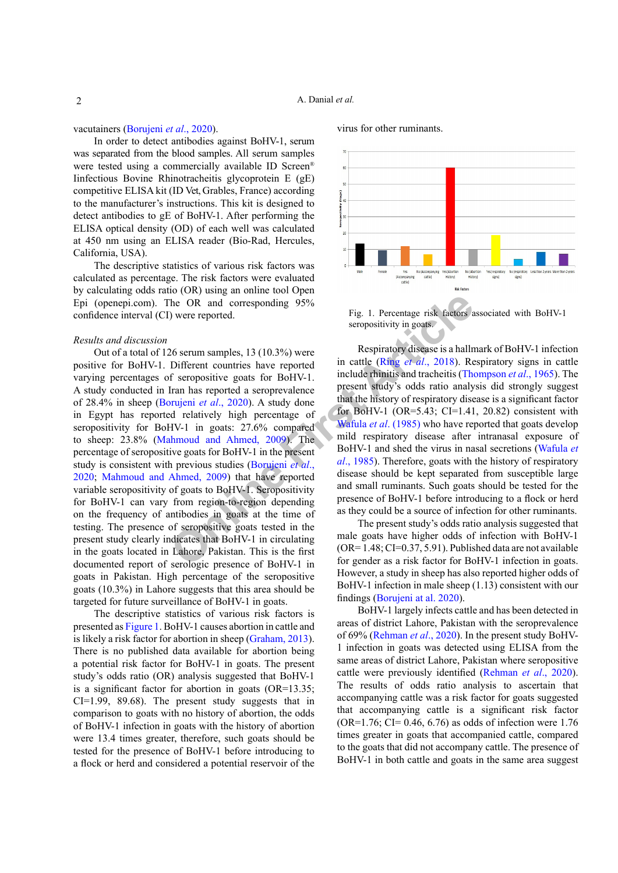vacutainers ([Borujeni](#page-2-4) *et al*., 2020).

In order to detect antibodies against BoHV-1, serum was separated from the blood samples. All serum samples were tested using a commercially available ID Screen® Iinfectious Bovine Rhinotracheitis glycoprotein E (gE) competitive ELISA kit (ID Vet, Grables, France) according to the manufacturer's instructions. This kit is designed to detect antibodies to gE of BoHV-1. After performing the ELISA optical density (OD) of each well was calculated at 450 nm using an ELISA reader (Bio-Rad, Hercules, California, USA).

The descriptive statistics of various risk factors was calculated as percentage. The risk factors were evaluated by calculating odds ratio (OR) using an online tool Open Epi (openepi.com). The OR and corresponding 95% confidence interval (CI) were reported.

## *Results and discussion*

**Example 18 and 2009)** The tore and accress the OR and corresponding 95%<br>
Different countries have reported in cattle (Ring *et al.*, 2018). Ref seropositive goats for BoHV-1. Iran has reported a seroprevalence present st Out of a total of 126 serum samples, 13 (10.3%) were positive for BoHV-1. Different countries have reported varying percentages of seropositive goats for BoHV-1. A study conducted in Iran has reported a seroprevalence of 28.4% in sheep (Borujeni *et al*., 2020). A study done in Egypt has reported relatively high percentage of seropositivity for BoHV-1 in goats: 27.6% compared to sheep: 23.8% (Mahmoud and Ahmed, 2009). The percentage of seropositive goats for BoHV-1 in the present study is consistent with previous studies (Borujeni *et al*., [2020](#page-2-4); [Mahmoud and Ahmed, 2009\)](#page-2-3) that have reported variable seropositivity of goats to BoHV-1. Seropositivity for BoHV-1 can vary from region-to-region depending on the frequency of antibodies in goats at the time of testing. The presence of seropositive goats tested in the present study clearly indicates that BoHV-1 in circulating in the goats located in Lahore, Pakistan. This is the first documented report of serologic presence of BoHV-1 in goats in Pakistan. High percentage of the seropositive goats (10.3%) in Lahore suggests that this area should be targeted for future surveillance of BoHV-1 in goats.

The descriptive statistics of various risk factors is presented as [Figure 1](#page-1-0). BoHV-1 causes abortion in cattle and is likely a risk factor for abortion in sheep [\(Graham, 2013](#page-2-0)). There is no published data available for abortion being a potential risk factor for BoHV-1 in goats. The present study's odds ratio (OR) analysis suggested that BoHV-1 is a significant factor for abortion in goats (OR=13.35; CI=1.99, 89.68). The present study suggests that in comparison to goats with no history of abortion, the odds of BoHV-1 infection in goats with the history of abortion were 13.4 times greater, therefore, such goats should be tested for the presence of BoHV-1 before introducing to a flock or herd and considered a potential reservoir of the virus for other ruminants.



<span id="page-1-0"></span>Fig. 1. Percentage risk factors associated with BoHV-1 seropositivity in goats.

Respiratory disease is a hallmark of BoHV-1 infection in cattle (Ring *et al*., 2018). Respiratory signs in cattle include rhinitis and tracheitis ([Thompson](#page-2-7) *et al*., 1965). The present study's odds ratio analysis did strongly suggest that the history of respiratory disease is a significant factor for BoHV-1 (OR=5.43; CI=1.41, 20.82) consistent with Wafula *et al*. (1985) who have reported that goats develop mild respiratory disease after intranasal exposure of BoHV-1 and shed the virus in nasal secretions ([Wafula](#page-2-8) *et al*., 1985). Therefore, goats with the history of respiratory disease should be kept separated from susceptible large and small ruminants. Such goats should be tested for the presence of BoHV-1 before introducing to a flock or herd as they could be a source of infection for other ruminants.

The present study's odds ratio analysis suggested that male goats have higher odds of infection with BoHV-1  $(OR=1.48; CI=0.37, 5.91)$ . Published data are not available for gender as a risk factor for BoHV-1 infection in goats. However, a study in sheep has also reported higher odds of BoHV-1 infection in male sheep (1.13) consistent with our findings ([Borujeni at al. 2020](#page-2-4)).

BoHV-1 largely infects cattle and has been detected in areas of district Lahore, Pakistan with the seroprevalence of 69% ([Rehman](#page-2-5) *et al*., 2020). In the present study BoHV-1 infection in goats was detected using ELISA from the same areas of district Lahore, Pakistan where seropositive cattle were previously identified ([Rehman](#page-2-5) *et al*., 2020). The results of odds ratio analysis to ascertain that accompanying cattle was a risk factor for goats suggested that accompanying cattle is a significant risk factor  $(OR=1.76; CI= 0.46, 6.76)$  as odds of infection were 1.76 times greater in goats that accompanied cattle, compared to the goats that did not accompany cattle. The presence of BoHV-1 in both cattle and goats in the same area suggest